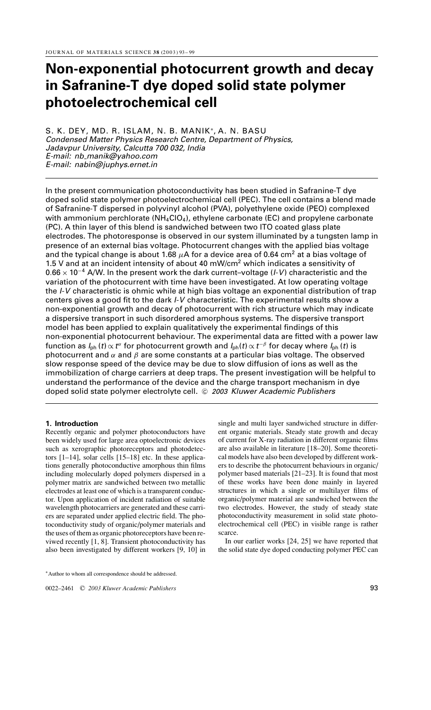# **Non-exponential photocurrent growth and decay in Safranine-T dye doped solid state polymer photoelectrochemical cell**

S. K. DEY, MD. R. ISLAM, N. B. MANIK∗, A. N. BASU *Condensed Matter Physics Research Centre, Department of Physics, Jadavpur University, Calcutta 700 032, India E-mail: nb manik@yahoo.com E-mail: nabin@juphys.ernet.in*

In the present communication photoconductivity has been studied in Safranine-T dye doped solid state polymer photoelectrochemical cell (PEC). The cell contains a blend made of Safranine-T dispersed in polyvinyl alcohol (PVA), polyethylene oxide (PEO) complexed with ammonium perchlorate  $(NH_4ClO_4)$ , ethylene carbonate (EC) and propylene carbonate (PC). A thin layer of this blend is sandwiched between two ITO coated glass plate electrodes. The photoresponse is observed in our system illuminated by a tungsten lamp in presence of an external bias voltage. Photocurrent changes with the applied bias voltage and the typical change is about 1.68  $\mu$ A for a device area of 0.64 cm<sup>2</sup> at a bias voltage of 1.5 V and at an incident intensity of about 40 mW/cm<sup>2</sup> which indicates a sensitivity of <sup>0</sup>.<sup>66</sup> <sup>×</sup> <sup>10</sup>−<sup>4</sup> A/W. In the present work the dark current–voltage (*I*-*V*) characteristic and the variation of the photocurrent with time have been investigated. At low operating voltage the *I*-*V* characteristic is ohmic while at high bias voltage an exponential distribution of trap centers gives a good fit to the dark *I*-*V* characteristic. The experimental results show a non-exponential growth and decay of photocurrent with rich structure which may indicate a dispersive transport in such disordered amorphous systems. The dispersive transport model has been applied to explain qualitatively the experimental findings of this non-exponential photocurrent behaviour. The experimental data are fitted with a power law function as  $I_{\text{ph}}(t) \propto t^{\alpha}$  for photocurrent growth and  $I_{\text{ph}}(t) \propto t^{-\beta}$  for decay where  $I_{\text{ph}}(t)$  is photocurrent and  $\alpha$  and  $\beta$  are some constants at a particular bias voltage. The observed slow response speed of the device may be due to slow diffusion of ions as well as the immobilization of charge carriers at deep traps. The present investigation will be helpful to understand the performance of the device and the charge transport mechanism in dye doped solid state polymer electrolyte cell. <sup>C</sup> *2003 Kluwer Academic Publishers*

# **1. Introduction**

Recently organic and polymer photoconductors have been widely used for large area optoelectronic devices such as xerographic photoreceptors and photodetectors  $[1-14]$ , solar cells  $[15-18]$  etc. In these applications generally photoconductive amorphous thin films including molecularly doped polymers dispersed in a polymer matrix are sandwiched between two metallic electrodes at least one of which is a transparent conductor. Upon application of incident radiation of suitable wavelength photocarriers are generated and these carriers are separated under applied electric field. The photoconductivity study of organic/polymer materials and the uses of them as organic photoreceptors have been reviwed recently [1, 8]. Transient photoconductivity has also been investigated by different workers [9, 10] in

single and multi layer sandwiched structure in different organic materials. Steady state growth and decay of current for X-ray radiation in different organic films are also available in literature [18–20]. Some theoretical models have also been developed by different workers to describe the photocurrent behaviours in organic/ polymer based materials [21–23]. It is found that most of these works have been done mainly in layered structures in which a single or multilayer films of organic/polymer material are sandwiched between the two electrodes. However, the study of steady state photoconductivity measurement in solid state photoelectrochemical cell (PEC) in visible range is rather scarce.

In our earlier works [24, 25] we have reported that the solid state dye doped conducting polymer PEC can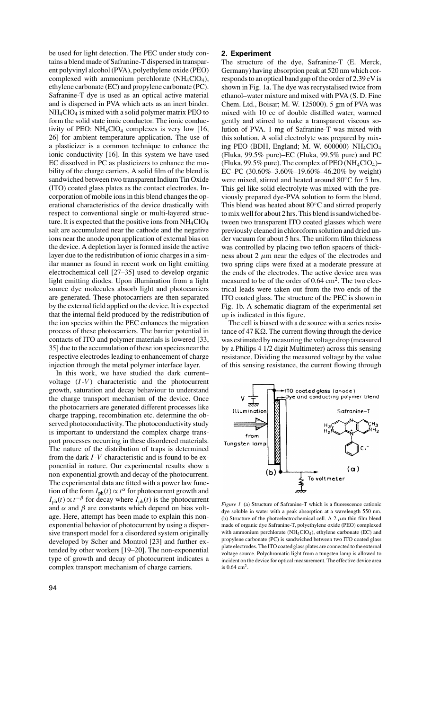be used for light detection. The PEC under study contains a blend made of Safranine-T dispersed in transparent polyvinyl alcohol (PVA), polyethylene oxide (PEO) complexed with ammonium perchlorate  $(NH_4ClO_4)$ , ethylene carbonate (EC) and propylene carbonate (PC). Safranine-T dye is used as an optical active material and is dispersed in PVA which acts as an inert binder.  $NH<sub>4</sub>ClO<sub>4</sub>$  is mixed with a solid polymer matrix PEO to form the solid state ionic conductor. The ionic conductivity of PEO:  $NH_4ClO_4$  complexes is very low [16, 26] for ambient temperature application. The use of a plasticizer is a common technique to enhance the ionic conductivity [16]. In this system we have used EC dissolved in PC as plasticizers to enhance the mobility of the charge carriers. A solid film of the blend is sandwiched between two transparent Indium Tin Oxide (ITO) coated glass plates as the contact electrodes. Incorporation of mobile ions in this blend changes the operational characteristics of the device drastically with respect to conventional single or multi-layered structure. It is expected that the positive ions from  $NH<sub>4</sub>ClO<sub>4</sub>$ salt are accumulated near the cathode and the negative ions near the anode upon application of external bias on the device. A depletion layer is formed inside the active layer due to the redistribution of ionic charges in a similar manner as found in recent work on light emitting electrochemical cell [27–35] used to develop organic light emitting diodes. Upon illumination from a light source dye molecules absorb light and photocarriers are generated. These photocarriers are then separated by the external field applied on the device. It is expected that the internal field produced by the redistribution of the ion species within the PEC enhances the migration process of these photocarriers. The barrier potential in contacts of ITO and polymer materials is lowered [33, 35] due to the accumulation of these ion species near the respective electrodes leading to enhancement of charge injection through the metal polymer interface layer.

In this work, we have studied the dark current– voltage (*I*-*V*) characteristic and the photocurrent growth, saturation and decay behaviour to understand the charge transport mechanism of the device. Once the photocarriers are generated different processes like charge trapping, recombination etc. determine the observed photoconductivity. The photoconductivity study is important to understand the complex charge transport processes occurring in these disordered materials. The nature of the distribution of traps is determined from the dark *I*-*V* characteristic and is found to be exponential in nature. Our experimental results show a non-exponential growth and decay of the photocurrent. The experimental data are fitted with a power law function of the form  $I_{ph}(t) \propto t^{\alpha}$  for photocurrent growth and  $I_{ph}(t) \propto t^{-\beta}$  for decay where  $I_{ph}(t)$  is the photocurrent and  $\alpha$  and  $\beta$  are constants which depend on bias voltage. Here, attempt has been made to explain this nonexponential behavior of photocurrent by using a dispersive transport model for a disordered system originally developed by Scher and Montrol [23] and further extended by other workers [19–20]. The non-exponential type of growth and decay of photocurrent indicates a complex transport mechanism of charge carriers.

## **2. Experiment**

The structure of the dye, Safranine-T (E. Merck, Germany) having absorption peak at 520 nm which corresponds to an optical band gap of the order of 2.39 eV is shown in Fig. 1a. The dye was recrystalised twice from ethanol–water mixture and mixed with PVA (S. D. Fine Chem. Ltd., Boisar; M. W. 125000). 5 gm of PVA was mixed with 10 cc of double distilled water, warmed gently and stirred to make a transparent viscous solution of PVA. 1 mg of Safranine-T was mixed with this solution. A solid electrolyte was prepared by mixing PEO (BDH, England; M. W. 600000)–NH<sub>4</sub>ClO<sub>4</sub> (Fluka, 99.5% pure)–EC (Fluka, 99.5% pure) and PC (Fluka, 99.5% pure). The complex of PEO (NH<sub>4</sub>ClO<sub>4</sub>)– EC–PC (30.60%–3.60%–19.60%–46.20% by weight) were mixed, stirred and heated around 80◦C for 5 hrs. This gel like solid electrolyte was mixed with the previously prepared dye-PVA solution to form the blend. This blend was heated about 80◦C and stirred properly to mix well for about 2 hrs. This blend is sandwiched between two transparent ITO coated glasses which were previously cleaned in chloroform solution and dried under vacuum for about 5 hrs. The uniform film thickness was controlled by placing two teflon spacers of thickness about 2  $\mu$ m near the edges of the electrodes and two spring clips were fixed at a moderate pressure at the ends of the electrodes. The active device area was measured to be of the order of  $0.64 \text{ cm}^2$ . The two electrical leads were taken out from the two ends of the ITO coated glass. The structure of the PEC is shown in Fig. 1b. A schematic diagram of the experimental set up is indicated in this figure.

The cell is biased with a dc source with a series resistance of 47 K $\Omega$ . The current flowing through the device was estimated by measuring the voltage drop (measured by a Philips 4 1/2 digit Multimeter) across this sensing resistance. Dividing the measured voltage by the value of this sensing resistance, the current flowing through



*Figure 1* (a) Structure of Safranine-T which is a fluorescence cationic dye soluble in water with a peak absorption at a wavelength 550 nm. (b) Structure of the photoelectrochemical cell. A 2  $\mu$ m thin film blend made of organic dye Safranine-T, polyethylene oxide (PEO) complexed with ammonium perchlorate (NH<sub>4</sub>ClO<sub>4</sub>), ethylene carbonate (EC) and propylene carbonate (PC) is sandwiched between two ITO coated glass plate electrodes. The ITO coated glass plates are connected to the external voltage source. Polychromatic light from a tungsten lamp is allowed to incident on the device for optical measurement. The effective device area is  $0.64 \text{ cm}^2$ .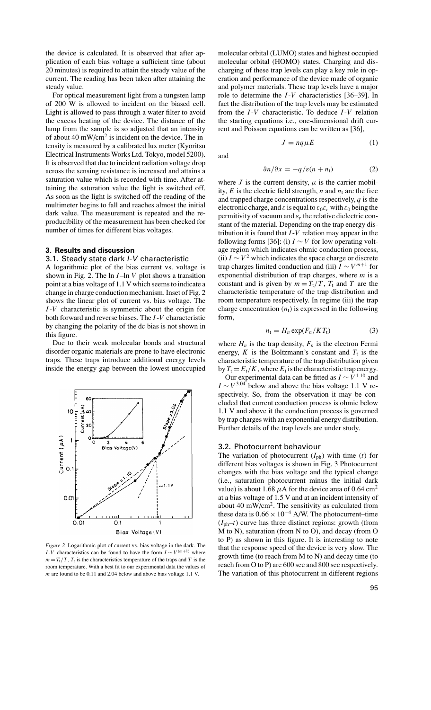the device is calculated. It is observed that after application of each bias voltage a sufficient time (about 20 minutes) is required to attain the steady value of the current. The reading has been taken after attaining the steady value.

For optical measurement light from a tungsten lamp of 200 W is allowed to incident on the biased cell. Light is allowed to pass through a water filter to avoid the excess heating of the device. The distance of the lamp from the sample is so adjusted that an intensity of about 40 mW/cm<sup>2</sup> is incident on the device. The intensity is measured by a calibrated lux meter (Kyoritsu Electrical Instruments Works Ltd. Tokyo, model 5200). It is observed that due to incident radiation voltage drop across the sensing resistance is increased and attains a saturation value which is recorded with time. After attaining the saturation value the light is switched off. As soon as the light is switched off the reading of the multimeter begins to fall and reaches almost the initial dark value. The measurement is repeated and the reproducibility of the measurement has been checked for number of times for different bias voltages.

#### **3. Results and discussion**

#### 3.1. Steady state dark *I*-*V* characteristic

A logarithmic plot of the bias current vs. voltage is shown in Fig. 2. The ln *I*-ln *V* plot shows a transition point at a bias voltage of 1.1 V which seems to indicate a change in charge conduction mechanism. Inset of Fig. 2 shows the linear plot of current vs. bias voltage. The *I*-*V* characteristic is symmetric about the origin for both forward and reverse biases. The *I*-*V* characteristic by changing the polarity of the dc bias is not shown in this figure.

Due to their weak molecular bonds and structural disorder organic materials are prone to have electronic traps. These traps introduce additional energy levels inside the energy gap between the lowest unoccupied



*Figure 2* Logarithmic plot of current vs. bias voltage in the dark. The *I*-*V* characteristics can be found to have the form  $I \sim V^{(m+1)}$  where  $m = T_t/T$ ,  $T_t$  is the characteristics temperature of the traps and *T* is the room temperature. With a best fit to our experimental data the values of *m* are found to be 0.11 and 2.04 below and above bias voltage 1.1 V.

molecular orbital (LUMO) states and highest occupied molecular orbital (HOMO) states. Charging and discharging of these trap levels can play a key role in operation and performance of the device made of organic and polymer materials. These trap levels have a major role to determine the *I*-*V* characteristics [36–39]. In fact the distribution of the trap levels may be estimated from the *I*-*V* characteristic. To deduce *I*-*V* relation the starting equations i.e., one-dimensional drift current and Poisson equations can be written as [36],

$$
J = nq\mu E \tag{1}
$$

and

$$
\frac{\partial n}{\partial x} = -q/\varepsilon (n + n_{\rm t}) \tag{2}
$$

where *J* is the current density,  $\mu$  is the carrier mobility,  $E$  is the electric field strength,  $n$  and  $n_t$  are the free and trapped charge concentrations respectively, *q* is the electronic charge, and  $\varepsilon$  is equal to  $\varepsilon_0 \varepsilon_r$  with  $\varepsilon_0$  being the permitivity of vacuum and  $\varepsilon_r$  the relative dielectric constant of the material. Depending on the trap energy distribution it is found that *I*-*V* relation may appear in the following forms [36]: (i)  $I \sim V$  for low operating voltage region which indicates ohmic conduction process, (ii)  $I \sim V^2$  which indicates the space charge or discrete trap charges limited conduction and (iii)  $\overline{I} \sim V^{m+1}$  for exponential distribution of trap charges, where *m* is a constant and is given by  $m = T_t/T$ ,  $T_t$  and  $T$  are the characteristic temperature of the trap distribution and room temperature respectively. In regime (iii) the trap charge concentration  $(n_t)$  is expressed in the following form,

$$
n_{t} = H_{n} \exp(F_{n}/KT_{t})
$$
 (3)

where  $H_n$  is the trap density,  $F_n$  is the electron Fermi energy,  $K$  is the Boltzmann's constant and  $T_t$  is the characteristic temperature of the trap distribution given by  $T_t = E_t/K$ , where  $E_t$  is the characteristic trap energy.

Our experimental data can be fitted as  $I \sim V^{1.10}$  and  $I \sim V^{3.04}$  below and above the bias voltage 1.1 V respectively. So, from the observation it may be concluded that current conduction process is ohmic below 1.1 V and above it the conduction process is governed by trap charges with an exponential energy distribution. Further details of the trap levels are under study.

# 3.2. Photocurrent behaviour

The variation of photocurrent  $(I_{ph})$  with time  $(t)$  for different bias voltages is shown in Fig. 3 Photocurrent changes with the bias voltage and the typical change (i.e., saturation photocurrent minus the initial dark value) is about 1.68  $\mu$ A for the device area of 0.64 cm<sup>2</sup> at a bias voltage of 1.5 V and at an incident intensity of about 40 mW/cm<sup>2</sup>. The sensitivity as calculated from these data is  $0.66 \times 10^{-4}$  A/W. The photocurrent–time  $(I_{ph}-t)$  curve has three distinct regions: growth (from M to N), saturation (from N to O), and decay (from O to P) as shown in this figure. It is interesting to note that the response speed of the device is very slow. The growth time (to reach from M to N) and decay time (to reach from O to P) are 600 sec and 800 sec respectively. The variation of this photocurrent in different regions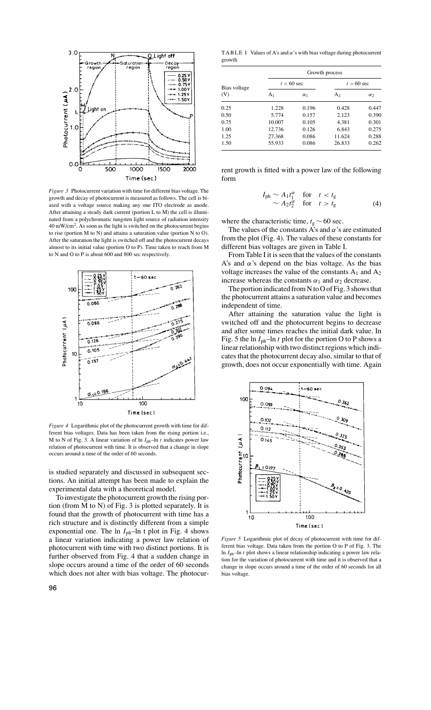

*Figure 3* Photocurrent variation with time for different bias voltage. The growth and decay of photocurrent is measured as follows. The cell is biased with a voltage source making any one ITO electrode as anode. After attaining a steady dark current (portion L to M) the cell is illuminated from a polychromatic tungsten light source of radiation intensity  $40 \text{ mW/cm}^2$ . As soon as the light is switched on the photocurrent begins to rise (portion M to N) and attains a saturation value (portion N to O). After the saturation the light is switched off and the photocurrent decays almost to its initial value (portion O to P). Time taken to reach from M to N and O to P is about 600 and 800 sec respectively.



*Figure 4* Logarithmic plot of the photocurrent growth with time for different bias voltages. Data has been taken from the rising portion i.e., M to N of Fig. 3. A linear variation of ln *I*ph–ln *t* indicates power law relation of photocurrent with time. It is observed that a change in slope occurs around a time of the order of 60 seconds.

is studied separately and discussed in subsequent sections. An initial attempt has been made to explain the experimental data with a theoretical model.

To investigate the photocurrent growth the rising portion (from M to N) of Fig. 3 is plotted separately. It is found that the growth of photocurrent with time has a rich structure and is distinctly different from a simple exponential one. The  $\ln I_{ph}$ –ln t plot in Fig. 4 shows a linear variation indicating a power law relation of photocurrent with time with two distinct portions. It is further observed from Fig. 4 that a sudden change in slope occurs around a time of the order of 60 seconds which does not alter with bias voltage. The photocur-

TABLE I Values of A's and  $\alpha$ 's with bias voltage during photocurrent growth

| Bias voltage<br>(V) | Growth process |            |                |            |  |
|---------------------|----------------|------------|----------------|------------|--|
|                     | $t < 60$ sec   |            | $t > 60$ sec   |            |  |
|                     | A <sub>1</sub> | $\alpha_1$ | A <sub>2</sub> | $\alpha_2$ |  |
| 0.25                | 1.228          | 0.196      | 0.428          | 0.447      |  |
| 0.50                | 5.774          | 0.157      | 2.123          | 0.390      |  |
| 0.75                | 10.007         | 0.105      | 4.381          | 0.301      |  |
| 1.00                | 12.736         | 0.126      | 6.843          | 0.275      |  |
| 1.25                | 27.368         | 0.086      | 11.624         | 0.288      |  |
| 1.50                | 55.933         | 0.086      | 26.833         | 0.262      |  |

rent growth is fitted with a power law of the following form

$$
I_{\text{ph}} \sim A_1 t_1^{\alpha} \quad \text{for} \quad t < t_g
$$
\n
$$
\sim A_2 t_2^{\alpha} \quad \text{for} \quad t > t_g \tag{4}
$$

where the characteristic time,  $t_g \sim 60$  sec.

The values of the constants A's and  $\alpha$ 's are estimated from the plot (Fig. 4). The values of these constants for different bias voltages are given in Table I.

From Table I it is seen that the values of the constants A's and  $\alpha$ 's depend on the bias voltage. As the bias voltage increases the value of the constants  $A_1$  and  $A_2$ increase whereas the constants  $\alpha_1$  and  $\alpha_2$  decrease.

The portion indicated from N to O of Fig. 3 shows that the photocurrent attains a saturation value and becomes independent of time.

After attaining the saturation value the light is switched off and the photocurrent begins to decrease and after some times reaches the initial dark value. In Fig. 5 the  $\ln I_{\text{ph}}$ – $\ln t$  plot for the portion O to P shows a linear relationship with two distinct regions which indicates that the photocurrent decay also, similar to that of growth, does not occur exponentially with time. Again



*Figure 5* Logarithmic plot of decay of photocurrent with time for different bias voltage. Data taken from the portion O to P of Fig. 3. The ln *I*ph–ln *t* plot shows a linear relationship indicating a power law relation for the variation of photocurrent with time and it is observed that a change in slope occurs around a time of the order of 60 seconds for all bias voltage.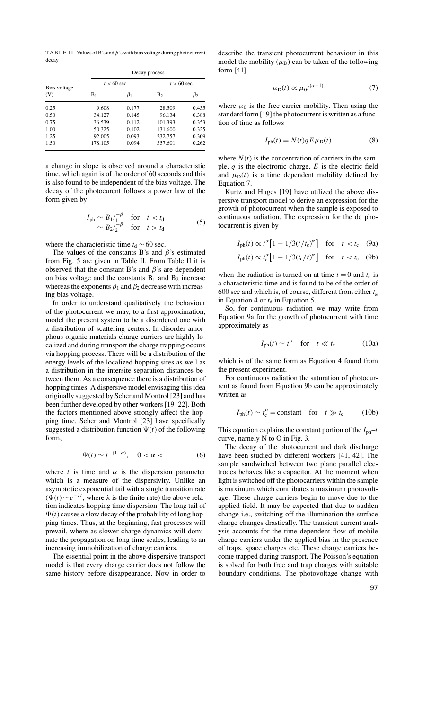TABLE II Values of B's and  $\beta$ 's with bias voltage during photocurrent decay

| Bias voltage<br>(V) | Decay process |           |                |           |
|---------------------|---------------|-----------|----------------|-----------|
|                     | $t < 60$ sec  |           | $t > 60$ sec   |           |
|                     | $B_1$         | $\beta_1$ | B <sub>2</sub> | $\beta_2$ |
| 0.25                | 9.608         | 0.177     | 28.509         | 0.435     |
| 0.50                | 34.127        | 0.145     | 96.134         | 0.388     |
| 0.75                | 36.539        | 0.112     | 101.393        | 0.353     |
| 1.00                | 50.325        | 0.102     | 131.600        | 0.325     |
| 1.25                | 92.005        | 0.093     | 232.757        | 0.309     |
| 1.50                | 178.105       | 0.094     | 357.601        | 0.262     |

a change in slope is observed around a characteristic time, which again is of the order of 60 seconds and this is also found to be independent of the bias voltage. The decay of the photocurent follows a power law of the form given by

$$
I_{\text{ph}} \sim B_1 t_1^{-\beta} \quad \text{for} \quad t < t_d
$$
\n
$$
\sim B_2 t_2^{-\beta} \quad \text{for} \quad t > t_d \tag{5}
$$

where the characteristic time  $t<sub>d</sub>$  ∼ 60 sec.

The values of the constants B's and  $\beta$ 's estimated from Fig. 5 are given in Table II. From Table II it is observed that the constant B's and  $\beta$ 's are dependent on bias voltage and the constants  $B_1$  and  $B_2$  increase whereas the exponents  $\beta_1$  and  $\beta_2$  decrease with increasing bias voltage.

In order to understand qualitatively the behaviour of the photocurrent we may, to a first approximation, model the present system to be a disordered one with a distribution of scattering centers. In disorder amorphous organic materials charge carriers are highly localized and during transport the charge trapping occurs via hopping process. There will be a distribution of the energy levels of the localized hopping sites as well as a distribution in the intersite separation distances between them. As a consequence there is a distribution of hopping times. A dispersive model envisaging this idea originally suggested by Scher and Montrol [23] and has been further developed by other workers [19–22]. Both the factors mentioned above strongly affect the hopping time. Scher and Montrol [23] have specifically suggested a distribution function  $\Psi(t)$  of the following form,

$$
\Psi(t) \sim t^{-(1+\alpha)}, \quad 0 < \alpha < 1 \tag{6}
$$

where *t* is time and  $\alpha$  is the dispersion parameter which is a measure of the dispersivity. Unlike an asymptotic exponential tail with a single transition rate  $(\Psi(t) \sim e^{-\lambda t}$ , where  $\lambda$  is the finite rate) the above relation indicates hopping time dispersion. The long tail of  $\Psi(t)$  causes a slow decay of the probability of long hopping times. Thus, at the beginning, fast processes will prevail, where as slower charge dynamics will dominate the propagation on long time scales, leading to an increasing immobilization of charge carriers.

The essential point in the above dispersive transport model is that every charge carrier does not follow the same history before disappearance. Now in order to

describe the transient photocurrent behaviour in this model the mobility  $(\mu_D)$  can be taken of the following form [41]

$$
\mu_{\mathcal{D}}(t) \propto \mu_0 t^{(\alpha - 1)} \tag{7}
$$

where  $\mu_0$  is the free carrier mobility. Then using the standard form [19] the photocurrent is written as a function of time as follows

$$
I_{\text{ph}}(t) = N(t)qE\mu_{\text{D}}(t) \tag{8}
$$

where  $N(t)$  is the concentration of carriers in the sample, *q* is the electronic charge, *E* is the electric field and  $\mu_D(t)$  is a time dependent mobility defined by Equation 7.

Kurtz and Huges [19] have utilized the above dispersive transport model to derive an expression for the growth of photocurrent when the sample is exposed to continuous radiation. The expression for the dc photocurrent is given by

$$
I_{\text{ph}}(t) \propto t^{\alpha} \left[ 1 - 1/3 \left( t/t_{\text{c}} \right)^{\alpha} \right] \quad \text{for} \quad t < t_{\text{c}} \quad (9a)
$$

$$
I_{\text{ph}}(t) \propto t_{\text{c}}^{\alpha} \big[ 1 - 1/3 (t_{\text{c}}/t)^{\alpha} \big] \quad \text{for} \quad t < t_{\text{c}} \quad (9b)
$$

when the radiation is turned on at time  $t = 0$  and  $t_c$  is a characteristic time and is found to be of the order of 600 sec and which is, of course, different from either  $t_{\rm g}$ in Equation 4 or  $t_d$  in Equation 5.

So, for continuous radiation we may write from Equation 9a for the growth of photocurrent with time approximately as

$$
I_{\text{ph}}(t) \sim t^{\alpha} \quad \text{for} \quad t \ll t_{\text{c}} \tag{10a}
$$

which is of the same form as Equation 4 found from the present experiment.

For continuous radiation the saturation of photocurrent as found from Equation 9b can be approximately written as

$$
I_{\text{ph}}(t) \sim t_{\text{c}}^{\alpha} = \text{constant} \quad \text{for} \quad t \gg t_{\text{c}} \tag{10b}
$$

This equation explains the constant portion of the *I*ph–*t* curve, namely N to O in Fig. 3.

The decay of the photocurrent and dark discharge have been studied by different workers [41, 42]. The sample sandwiched between two plane parallel electrodes behaves like a capacitor. At the moment when light is switched off the photocarriers within the sample is maximum which contributes a maximum photovoltage. These charge carriers begin to move due to the applied field. It may be expected that due to sudden change i.e., switching off the illumination the surface charge changes drastically. The transient current analysis accounts for the time dependent flow of mobile charge carriers under the applied bias in the presence of traps, space charges etc. These charge carriers become trapped during transport. The Poisson's equation is solved for both free and trap charges with suitable boundary conditions. The photovoltage change with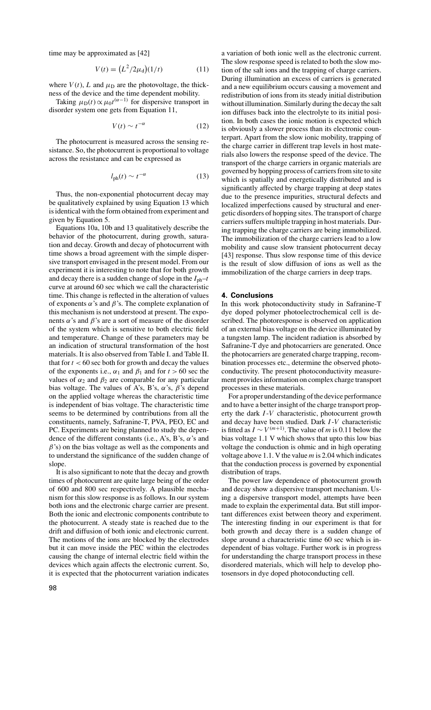time may be approximated as [42]

$$
V(t) = (L^2/2\mu_d)(1/t)
$$
 (11)

where  $V(t)$ , *L* and  $\mu_D$  are the photovoltage, the thickness of the device and the time dependent mobility.

Taking  $\mu_D(t) \propto \mu_0 t^{(\alpha-1)}$  for dispersive transport in disorder system one gets from Equation 11,

$$
V(t) \sim t^{-\alpha} \tag{12}
$$

The photocurrent is measured across the sensing resistance. So, the photocurrent is proportional to voltage across the resistance and can be expressed as

$$
l_{\rm ph}(t) \sim t^{-\alpha} \tag{13}
$$

Thus, the non-exponential photocurrent decay may be qualitatively explained by using Equation 13 which is identical with the form obtained from experiment and given by Equation 5.

Equations 10a, 10b and 13 qualitatively describe the behavior of the photocurrent, during growth, saturation and decay. Growth and decay of photocurrent with time shows a broad agreement with the simple dispersive transport envisaged in the present model. From our experiment it is interesting to note that for both growth and decay there is a sudden change of slope in the *I*ph–*t* curve at around 60 sec which we call the characteristic time. This change is reflected in the alteration of values of exponents  $\alpha$ 's and  $\beta$ 's. The complete explanation of this mechanism is not understood at present. The exponents  $\alpha$ 's and  $\beta$ 's are a sort of measure of the disorder of the system which is sensitive to both electric field and temperature. Change of these parameters may be an indication of structural transformation of the host materials. It is also observed from Table I. and Table II. that for  $t < 60$  sec both for growth and decay the values of the exponents i.e.,  $\alpha_1$  and  $\beta_1$  and for  $t > 60$  sec the values of  $\alpha_2$  and  $\beta_2$  are comparable for any particular bias voltage. The values of A's, B's,  $\alpha$ 's,  $\beta$ 's depend on the applied voltage whereas the characteristic time is independent of bias voltage. The characteristic time seems to be determined by contributions from all the constituents, namely, Safranine-T, PVA, PEO, EC and PC. Experiments are being planned to study the dependence of the different constants (i.e., A's, B's,  $\alpha$ 's and  $\beta$ 's) on the bias voltage as well as the components and to understand the significance of the sudden change of slope.

It is also significant to note that the decay and growth times of photocurrent are quite large being of the order of 600 and 800 sec respectively. A plausible mechanism for this slow response is as follows. In our system both ions and the electronic charge carrier are present. Both the ionic and electronic components contribute to the photocurrent. A steady state is reached due to the drift and diffusion of both ionic and electronic current. The motions of the ions are blocked by the electrodes but it can move inside the PEC within the electrodes causing the change of internal electric field within the devices which again affects the electronic current. So, it is expected that the photocurrent variation indicates

a variation of both ionic well as the electronic current. The slow response speed is related to both the slow motion of the salt ions and the trapping of charge carriers. During illumination an excess of carriers is generated and a new equilibrium occurs causing a movement and redistribution of ions from its steady initial distribution without illumination. Similarly during the decay the salt ion diffuses back into the electrolyte to its initial position. In both cases the ionic motion is expected which is obviously a slower process than its electronic counterpart. Apart from the slow ionic mobility, trapping of the charge carrier in different trap levels in host materials also lowers the response speed of the device. The transport of the charge carriers in organic materials are governed by hopping process of carriers from site to site which is spatially and energetically distributed and is significantly affected by charge trapping at deep states due to the presence impurities, structural defects and localized imperfections caused by structural and energetic disorders of hopping sites. The transport of charge carriers suffers multiple trapping in host materials. During trapping the charge carriers are being immobilized. The immobilization of the charge carriers lead to a low mobility and cause slow transient photocurrent decay [43] response. Thus slow response time of this device is the result of slow diffusion of ions as well as the immobilization of the charge carriers in deep traps.

#### **4. Conclusions**

In this work photoconductivity study in Safranine-T dye doped polymer photoelectrochemical cell is described. The photoresponse is observed on application of an external bias voltage on the device illuminated by a tungsten lamp. The incident radiation is absorbed by Safranine-T dye and photocarriers are generated. Once the photocarriers are generated charge trapping, recombination processes etc., determine the observed photoconductivity. The present photoconductivity measurement provides information on complex charge transport processes in these materials.

For a proper understanding of the device performance and to have a better insight of the charge transport property the dark *I*-*V* characteristic, photocurrent growth and decay have been studied. Dark *I*-*V* characteristic is fitted as  $I \sim V^{(m+1)}$ . The value of *m* is 0.11 below the bias voltage 1.1 V which shows that upto this low bias voltage the conduction is ohmic and in high operating voltage above 1.1. V the value *m* is 2.04 which indicates that the conduction process is governed by exponential distribution of traps.

The power law dependence of photocurrent growth and decay show a dispersive transport mechanism. Using a dispersive transport model, attempts have been made to explain the experimental data. But still important differences exist between theory and experiment. The interesting finding in our experiment is that for both growth and decay there is a sudden change of slope around a characteristic time 60 sec which is independent of bias voltage. Further work is in progress for understanding the charge transport process in these disordered materials, which will help to develop photosensors in dye doped photoconducting cell.